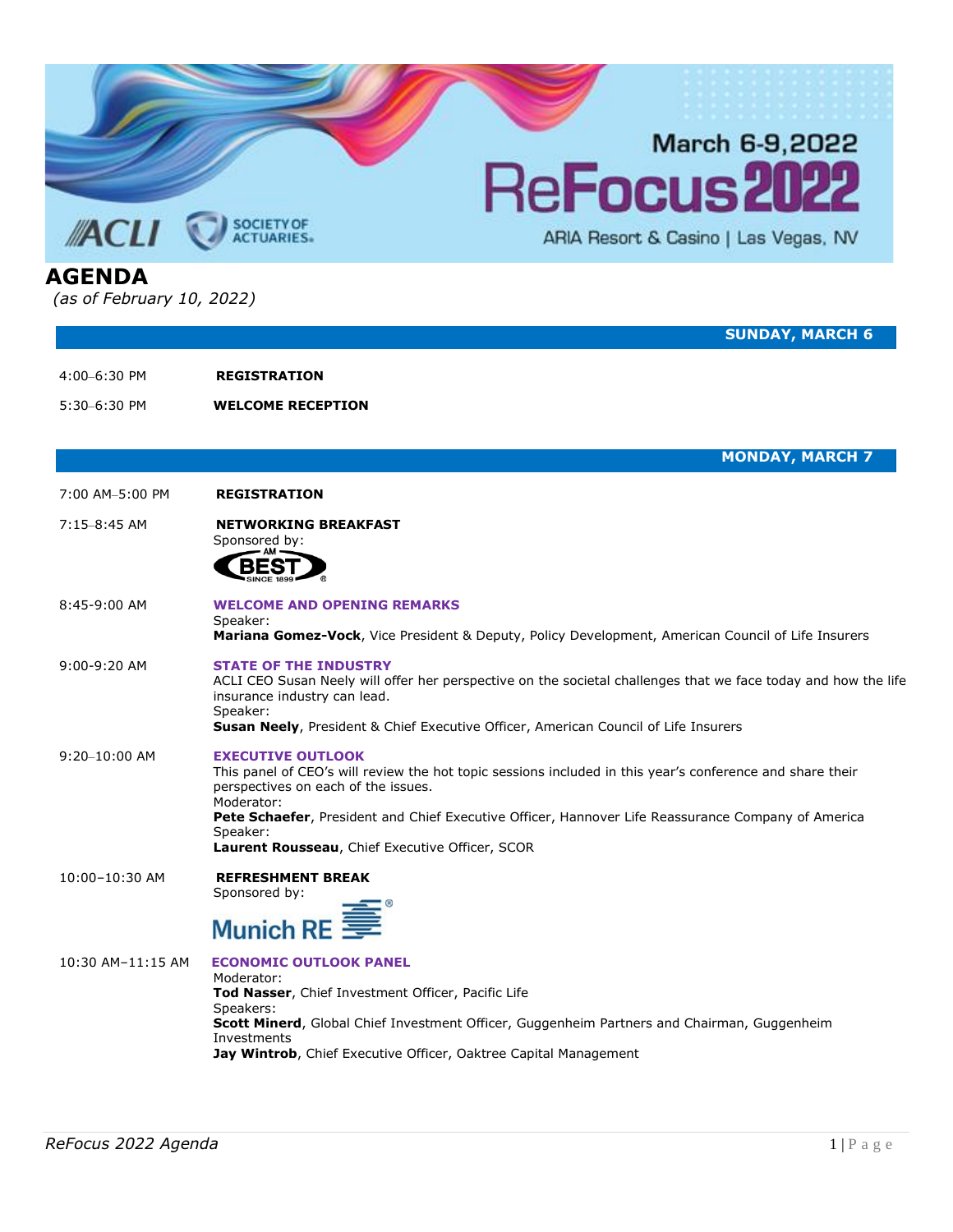

5:30–6:30 PM **WELCOME RECEPTION**

**MONDAY, MARCH 7**

7:00 AM–5:00 PM **REGISTRATION**

## 7:15–8:45 AM **NETWORKING BREAKFAST**

Sponsored by:



8:45-9:00 AM **WELCOME AND OPENING REMARKS** Speaker: **Mariana Gomez-Vock**, Vice President & Deputy, Policy Development, American Council of Life Insurers

## 9:00-9:20 AM **STATE OF THE INDUSTRY**

ACLI CEO Susan Neely will offer her perspective on the societal challenges that we face today and how the life insurance industry can lead. Speaker:

**Susan Neely**, President & Chief Executive Officer, American Council of Life Insurers

## 9:20–10:00 AM **EXECUTIVE OUTLOOK**

This panel of CEO's will review the hot topic sessions included in this year's conference and share their perspectives on each of the issues. Moderator: **Pete Schaefer**, President and Chief Executive Officer, Hannover Life Reassurance Company of America Speaker:

**Laurent Rousseau**, Chief Executive Officer, SCOR

10:00–10:30 AM **REFRESHMENT BREAK** Sponsored by:



10:30 AM–11:15 AM **ECONOMIC OUTLOOK PANEL** Moderator: **Tod Nasser**, Chief Investment Officer, Pacific Life Speakers: **Scott Minerd**, Global Chief Investment Officer, Guggenheim Partners and Chairman, Guggenheim Investments **Jay Wintrob**, Chief Executive Officer, Oaktree Capital Management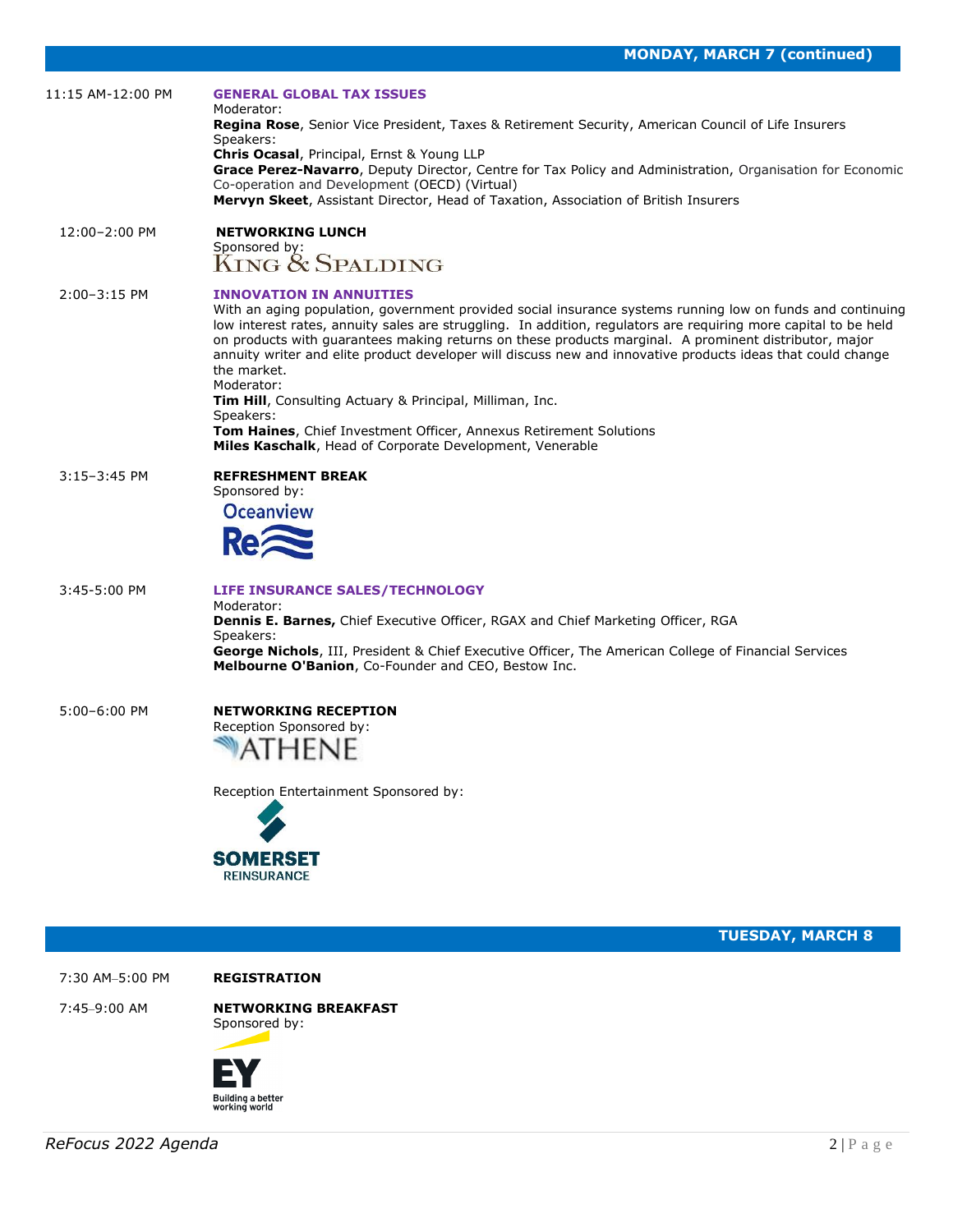| 11:15 AM-12:00 PM | <b>GENERAL GLOBAL TAX ISSUES</b><br>Moderator:<br>Regina Rose, Senior Vice President, Taxes & Retirement Security, American Council of Life Insurers<br>Speakers:<br>Chris Ocasal, Principal, Ernst & Young LLP<br>Grace Perez-Navarro, Deputy Director, Centre for Tax Policy and Administration, Organisation for Economic<br>Co-operation and Development (OECD) (Virtual)<br>Mervyn Skeet, Assistant Director, Head of Taxation, Association of British Insurers                                                                                                                                                                                                                                                            |
|-------------------|---------------------------------------------------------------------------------------------------------------------------------------------------------------------------------------------------------------------------------------------------------------------------------------------------------------------------------------------------------------------------------------------------------------------------------------------------------------------------------------------------------------------------------------------------------------------------------------------------------------------------------------------------------------------------------------------------------------------------------|
| 12:00-2:00 PM     | <b>NETWORKING LUNCH</b><br>Sponsored by:<br>KING & SPALDING                                                                                                                                                                                                                                                                                                                                                                                                                                                                                                                                                                                                                                                                     |
| $2:00 - 3:15$ PM  | <b>INNOVATION IN ANNUITIES</b><br>With an aging population, government provided social insurance systems running low on funds and continuing<br>low interest rates, annuity sales are struggling. In addition, regulators are requiring more capital to be held<br>on products with guarantees making returns on these products marginal. A prominent distributor, major<br>annuity writer and elite product developer will discuss new and innovative products ideas that could change<br>the market.<br>Moderator:<br>Tim Hill, Consulting Actuary & Principal, Milliman, Inc.<br>Speakers:<br>Tom Haines, Chief Investment Officer, Annexus Retirement Solutions<br>Miles Kaschalk, Head of Corporate Development, Venerable |
| $3:15-3:45$ PM    | <b>REFRESHMENT BREAK</b><br>Sponsored by:<br><b>Oceanview</b>                                                                                                                                                                                                                                                                                                                                                                                                                                                                                                                                                                                                                                                                   |
| 3:45-5:00 PM      | LIFE INSURANCE SALES/TECHNOLOGY<br>Moderator:<br>Dennis E. Barnes, Chief Executive Officer, RGAX and Chief Marketing Officer, RGA<br>Speakers:<br>George Nichols, III, President & Chief Executive Officer, The American College of Financial Services<br>Melbourne O'Banion, Co-Founder and CEO, Bestow Inc.                                                                                                                                                                                                                                                                                                                                                                                                                   |
| 5:00-6:00 PM      | <b>NETWORKING RECEPTION</b><br>Reception Sponsored by:<br>Reception Entertainment Sponsored by:<br><b>SOMERSET</b><br><b>REINSURANCE</b>                                                                                                                                                                                                                                                                                                                                                                                                                                                                                                                                                                                        |
|                   | <b>TUESDAY, MARCH 8</b>                                                                                                                                                                                                                                                                                                                                                                                                                                                                                                                                                                                                                                                                                                         |
| 7:30 AM-5:00 PM   | <b>REGISTRATION</b>                                                                                                                                                                                                                                                                                                                                                                                                                                                                                                                                                                                                                                                                                                             |
| 7:45-9:00 AM      | <b>NETWORKING BREAKFAST</b><br>Sponsored by:                                                                                                                                                                                                                                                                                                                                                                                                                                                                                                                                                                                                                                                                                    |

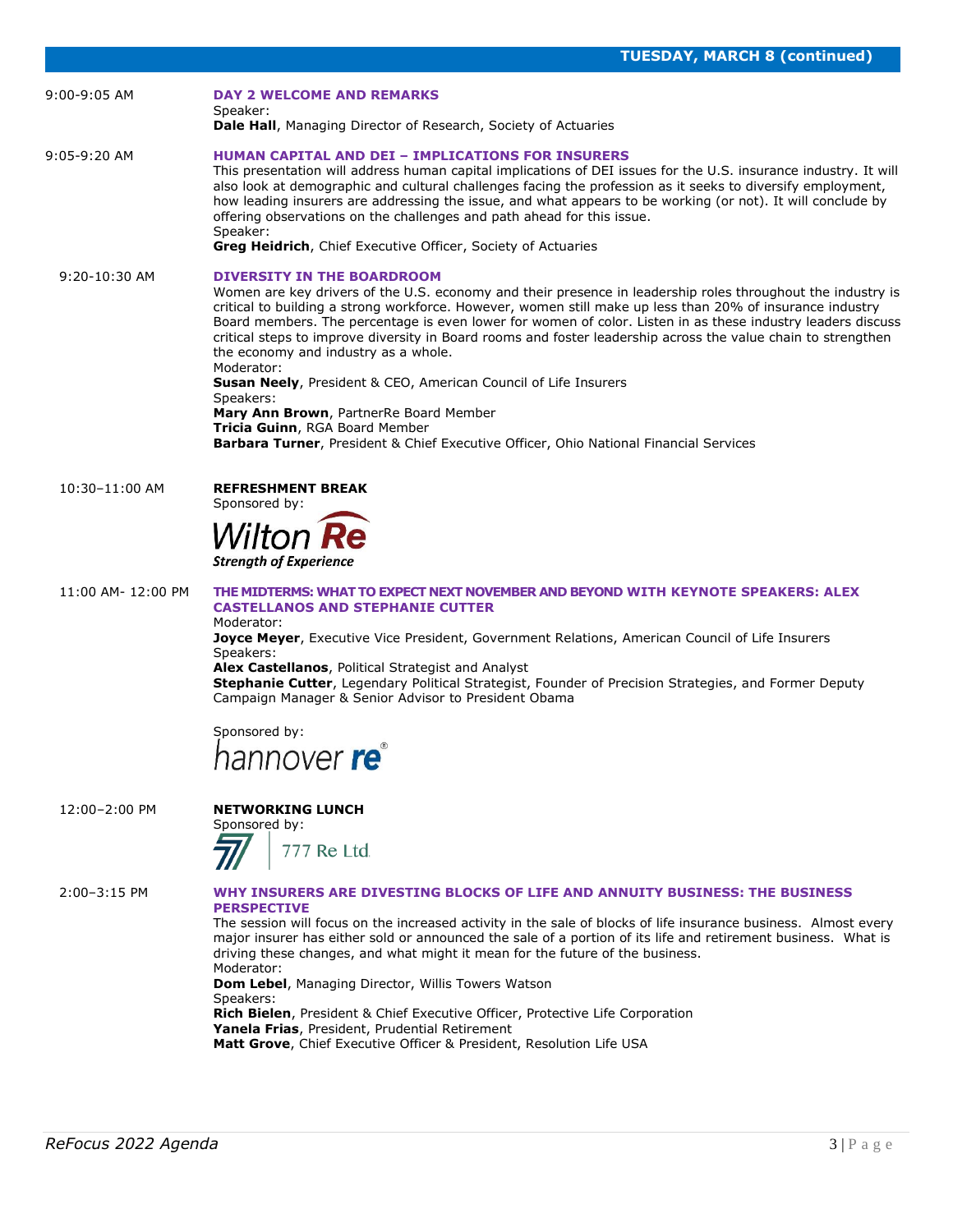| 9:00-9:05 AM       | <b>DAY 2 WELCOME AND REMARKS</b><br>Speaker:<br>Dale Hall, Managing Director of Research, Society of Actuaries                                                                                                                                                                                                                                                                                                                                                                                                                                                   |
|--------------------|------------------------------------------------------------------------------------------------------------------------------------------------------------------------------------------------------------------------------------------------------------------------------------------------------------------------------------------------------------------------------------------------------------------------------------------------------------------------------------------------------------------------------------------------------------------|
| 9:05-9:20 AM       | <b>HUMAN CAPITAL AND DEI - IMPLICATIONS FOR INSURERS</b><br>This presentation will address human capital implications of DEI issues for the U.S. insurance industry. It will<br>also look at demographic and cultural challenges facing the profession as it seeks to diversify employment,<br>how leading insurers are addressing the issue, and what appears to be working (or not). It will conclude by<br>offering observations on the challenges and path ahead for this issue.<br>Speaker:<br>Greg Heidrich, Chief Executive Officer, Society of Actuaries |
| $9:20 - 10:30$ AM  | <b>DIVERSITY IN THE BOARDROOM</b>                                                                                                                                                                                                                                                                                                                                                                                                                                                                                                                                |
|                    | Women are key drivers of the U.S. economy and their presence in leadership roles throughout the industry is<br>critical to building a strong workforce. However, women still make up less than 20% of insurance industry<br>Board members. The percentage is even lower for women of color. Listen in as these industry leaders discuss<br>critical steps to improve diversity in Board rooms and foster leadership across the value chain to strengthen<br>the economy and industry as a whole.<br>Moderator:                                                   |
|                    | <b>Susan Neely, President &amp; CEO, American Council of Life Insurers</b><br>Speakers:                                                                                                                                                                                                                                                                                                                                                                                                                                                                          |
|                    | Mary Ann Brown, PartnerRe Board Member<br>Tricia Guinn, RGA Board Member                                                                                                                                                                                                                                                                                                                                                                                                                                                                                         |
|                    | Barbara Turner, President & Chief Executive Officer, Ohio National Financial Services                                                                                                                                                                                                                                                                                                                                                                                                                                                                            |
| 10:30-11:00 AM     | <b>REFRESHMENT BREAK</b><br>Sponsored by:                                                                                                                                                                                                                                                                                                                                                                                                                                                                                                                        |
|                    | Wilton Re<br><b>Strength of Experience</b>                                                                                                                                                                                                                                                                                                                                                                                                                                                                                                                       |
| 11:00 AM- 12:00 PM | THE MIDTERMS: WHAT TO EXPECT NEXT NOVEMBER AND BEYOND WITH KEYNOTE SPEAKERS: ALEX<br><b>CASTELLANOS AND STEPHANIE CUTTER</b><br>Moderator:                                                                                                                                                                                                                                                                                                                                                                                                                       |
|                    | Joyce Meyer, Executive Vice President, Government Relations, American Council of Life Insurers<br>Speakers:<br>Alex Castellanos, Political Strategist and Analyst<br>Stephanie Cutter, Legendary Political Strategist, Founder of Precision Strategies, and Former Deputy                                                                                                                                                                                                                                                                                        |
|                    | Campaign Manager & Senior Advisor to President Obama                                                                                                                                                                                                                                                                                                                                                                                                                                                                                                             |
|                    | Sponsored by:                                                                                                                                                                                                                                                                                                                                                                                                                                                                                                                                                    |
|                    | hannover <b>re</b>                                                                                                                                                                                                                                                                                                                                                                                                                                                                                                                                               |
| 12:00-2:00 PM      | <b>NETWORKING LUNCH</b>                                                                                                                                                                                                                                                                                                                                                                                                                                                                                                                                          |
|                    | Sponsored by:                                                                                                                                                                                                                                                                                                                                                                                                                                                                                                                                                    |
|                    | 777 Re Ltd.                                                                                                                                                                                                                                                                                                                                                                                                                                                                                                                                                      |
| 2:00-3:15 PM       | WHY INSURERS ARE DIVESTING BLOCKS OF LIFE AND ANNUITY BUSINESS: THE BUSINESS<br><b>PERSPECTIVE</b>                                                                                                                                                                                                                                                                                                                                                                                                                                                               |
|                    | The session will focus on the increased activity in the sale of blocks of life insurance business. Almost every<br>major insurer has either sold or announced the sale of a portion of its life and retirement business. What is<br>driving these changes, and what might it mean for the future of the business.                                                                                                                                                                                                                                                |
|                    | Moderator:<br>Dom Lebel, Managing Director, Willis Towers Watson                                                                                                                                                                                                                                                                                                                                                                                                                                                                                                 |
|                    | Speakers:<br>Rich Bielen, President & Chief Executive Officer, Protective Life Corporation                                                                                                                                                                                                                                                                                                                                                                                                                                                                       |

**Yanela Frias**, President, Prudential Retirement

**Matt Grove**, Chief Executive Officer & President, Resolution Life USA